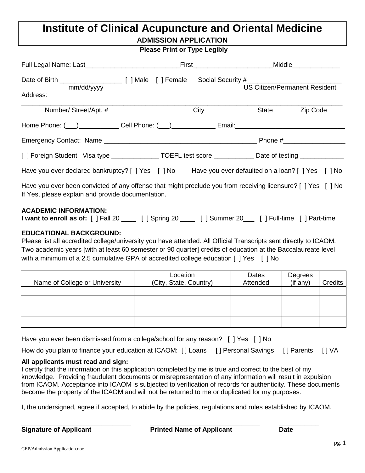# **Institute of Clinical Acupuncture and Oriental Medicine ADMISSION APPLICATION**

|  | <b>Please Print or Type Legibly</b> |
|--|-------------------------------------|
|  |                                     |

|                                                                                                                                                                   | _First_____________________________Middle________________ |                                      |          |
|-------------------------------------------------------------------------------------------------------------------------------------------------------------------|-----------------------------------------------------------|--------------------------------------|----------|
| mm/dd/yyyy<br>Address:                                                                                                                                            |                                                           | <b>US Citizen/Permanent Resident</b> |          |
| Number/Street/Apt. #                                                                                                                                              | City                                                      | State                                | Zip Code |
|                                                                                                                                                                   |                                                           |                                      |          |
|                                                                                                                                                                   |                                                           |                                      |          |
| [] Foreign Student Visa type ________________TOEFL test score ____________Date of testing __________                                                              |                                                           |                                      |          |
| Have you ever declared bankruptcy? [ ] Yes [ ] No Have you ever defaulted on a loan? [ ] Yes [ ] No                                                               |                                                           |                                      |          |
| Have you ever been convicted of any offense that might preclude you from receiving licensure? [ ] Yes [ ] No<br>If Yes, please explain and provide documentation. |                                                           |                                      |          |
| <b>ACADEMIC INFORMATION:</b><br>I want to enroll as of: [ ] Fall 20 _____ [ ] Spring 20 _____ [ ] Summer 20 ____ [ ] Full-time [ ] Part-time                      |                                                           |                                      |          |

# **EDUCATIONAL BACKGROUND:**

Please list all accredited college/university you have attended. All Official Transcripts sent directly to ICAOM. Two academic years [with at least 60 semester or 90 quarter] credits of education at the Baccalaureate level with a minimum of a 2.5 cumulative GPA of accredited college education [ ] Yes [ ] No

| Name of College or University | Location<br>(City, State, Country) | Dates<br>Attended | Degrees<br>(if any) | <b>Credits</b> |
|-------------------------------|------------------------------------|-------------------|---------------------|----------------|
|                               |                                    |                   |                     |                |
|                               |                                    |                   |                     |                |
|                               |                                    |                   |                     |                |

|  | Have you ever been dismissed from a college/school for any reason? [ ] Yes [ ] No |  |  |
|--|-----------------------------------------------------------------------------------|--|--|
|  |                                                                                   |  |  |

|  | How do you plan to finance your education at ICAOM: [] Loans [] Personal Savings [] Parents [] VA |  |  |
|--|---------------------------------------------------------------------------------------------------|--|--|
|  |                                                                                                   |  |  |

#### **All applicants must read and sign:**

I certify that the information on this application completed by me is true and correct to the best of my knowledge. Providing fraudulent documents or misrepresentation of any information will result in expulsion from ICAOM. Acceptance into ICAOM is subjected to verification of records for authenticity. These documents become the property of the ICAOM and will not be returned to me or duplicated for my purposes.

I, the undersigned, agree if accepted, to abide by the policies, regulations and rules established by ICAOM.

**\_\_\_\_\_\_\_\_\_\_\_\_\_\_\_\_\_\_\_\_\_\_\_\_\_\_\_\_\_\_ \_\_\_\_\_\_\_\_\_\_\_\_\_\_\_\_\_\_\_\_\_\_\_\_\_\_\_\_\_\_ \_\_\_\_\_\_\_\_\_\_\_ Signature of Applicant Printed Name of Applicant Date**